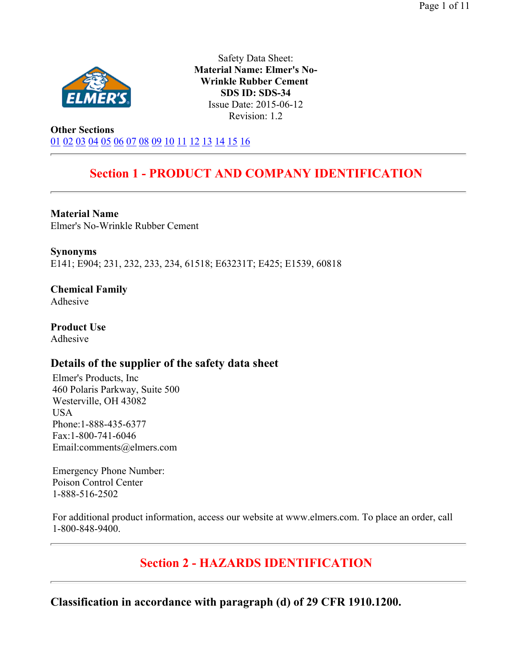

Safety Data Sheet: **Material Name: Elmer's No-Wrinkle Rubber Cement SDS ID: SDS-34** Issue Date: 2015-06-12 Revision: 1.2

**Other Sections** 01 02 03 04 05 06 07 08 09 10 11 12 13 14 15 16

# **Section 1 - PRODUCT AND COMPANY IDENTIFICATION**

**Material Name**  Elmer's No-Wrinkle Rubber Cement

**Synonyms** E141; E904; 231, 232, 233, 234, 61518; E63231T; E425; E1539, 60818

**Chemical Family**  Adhesive

**Product Use**  Adhesive

## **Details of the supplier of the safety data sheet**

Elmer's Products, Inc 460 Polaris Parkway, Suite 500 Westerville, OH 43082 USA Phone:1-888-435-6377 Fax:1-800-741-6046 Email:comments@elmers.com

Emergency Phone Number: Poison Control Center 1-888-516-2502

For additional product information, access our website at www.elmers.com. To place an order, call 1-800-848-9400.

**Section 2 - HAZARDS IDENTIFICATION** 

**Classification in accordance with paragraph (d) of 29 CFR 1910.1200.**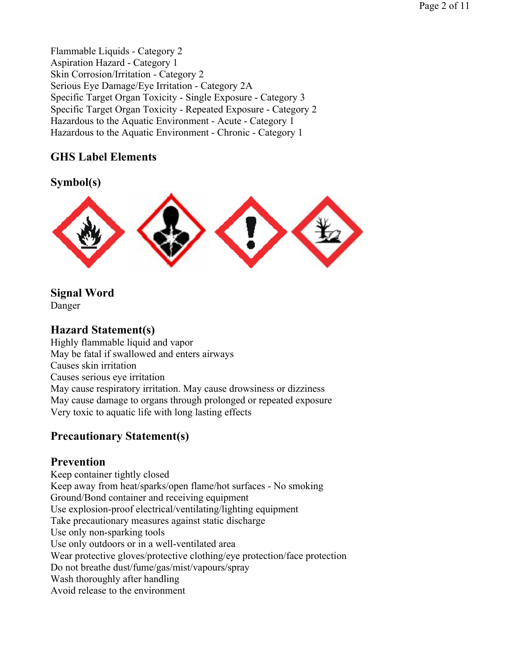Flammable Liquids - Category 2 Aspiration Hazard - Category 1 Skin Corrosion/Irritation - Category 2 Serious Eye Damage/Eye Irritation - Category 2A Specific Target Organ Toxicity - Single Exposure - Category 3 Specific Target Organ Toxicity - Repeated Exposure - Category 2 Hazardous to the Aquatic Environment - Acute - Category 1 Hazardous to the Aquatic Environment - Chronic - Category 1

## **GHS Label Elements**

## **Symbol(s)**



**Signal Word**  Danger

## **Hazard Statement(s)**

Highly flammable liquid and vapor May be fatal if swallowed and enters airways Causes skin irritation Causes serious eye irritation May cause respiratory irritation. May cause drowsiness or dizziness May cause damage to organs through prolonged or repeated exposure Very toxic to aquatic life with long lasting effects

## **Precautionary Statement(s)**

## **Prevention**

Keep container tightly closed Keep away from heat/sparks/open flame/hot surfaces - No smoking Ground/Bond container and receiving equipment Use explosion-proof electrical/ventilating/lighting equipment Take precautionary measures against static discharge Use only non-sparking tools Use only outdoors or in a well-ventilated area Wear protective gloves/protective clothing/eye protection/face protection Do not breathe dust/fume/gas/mist/vapours/spray Wash thoroughly after handling Avoid release to the environment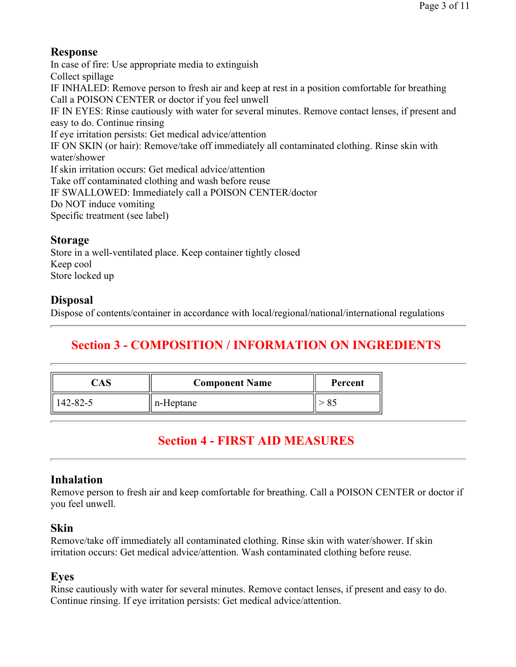## **Response**

In case of fire: Use appropriate media to extinguish Collect spillage IF INHALED: Remove person to fresh air and keep at rest in a position comfortable for breathing Call a POISON CENTER or doctor if you feel unwell IF IN EYES: Rinse cautiously with water for several minutes. Remove contact lenses, if present and easy to do. Continue rinsing If eye irritation persists: Get medical advice/attention IF ON SKIN (or hair): Remove/take off immediately all contaminated clothing. Rinse skin with water/shower If skin irritation occurs: Get medical advice/attention Take off contaminated clothing and wash before reuse IF SWALLOWED: Immediately call a POISON CENTER/doctor Do NOT induce vomiting Specific treatment (see label)

## **Storage**

Store in a well-ventilated place. Keep container tightly closed Keep cool Store locked up

## **Disposal**

Dispose of contents/container in accordance with local/regional/national/international regulations

# **Section 3 - COMPOSITION / INFORMATION ON INGREDIENTS**

|          | <b>Component Name</b> | Percent |  |
|----------|-----------------------|---------|--|
| 142-82-5 | n-Heptane             |         |  |

# **Section 4 - FIRST AID MEASURES**

## **Inhalation**

Remove person to fresh air and keep comfortable for breathing. Call a POISON CENTER or doctor if you feel unwell.

## **Skin**

Remove/take off immediately all contaminated clothing. Rinse skin with water/shower. If skin irritation occurs: Get medical advice/attention. Wash contaminated clothing before reuse.

## **Eyes**

Rinse cautiously with water for several minutes. Remove contact lenses, if present and easy to do. Continue rinsing. If eye irritation persists: Get medical advice/attention.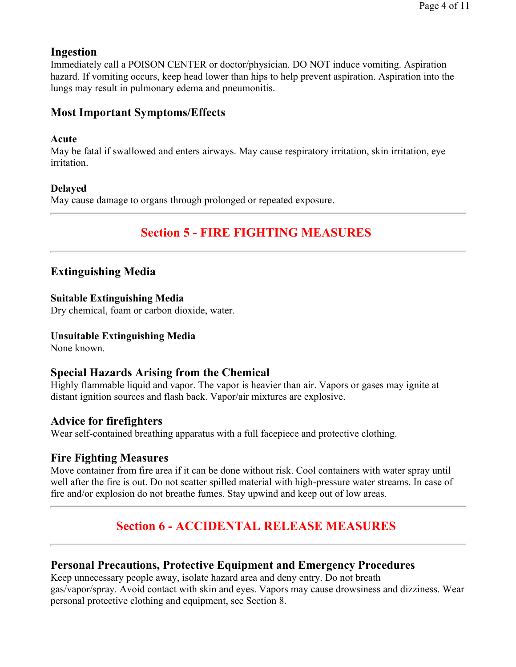## **Ingestion**

Immediately call a POISON CENTER or doctor/physician. DO NOT induce vomiting. Aspiration hazard. If vomiting occurs, keep head lower than hips to help prevent aspiration. Aspiration into the lungs may result in pulmonary edema and pneumonitis.

## **Most Important Symptoms/Effects**

#### **Acute**

May be fatal if swallowed and enters airways. May cause respiratory irritation, skin irritation, eye irritation.

#### **Delayed**

May cause damage to organs through prolonged or repeated exposure.

## **Section 5 - FIRE FIGHTING MEASURES**

## **Extinguishing Media**

#### **Suitable Extinguishing Media**

Dry chemical, foam or carbon dioxide, water.

#### **Unsuitable Extinguishing Media**

None known.

## **Special Hazards Arising from the Chemical**

Highly flammable liquid and vapor. The vapor is heavier than air. Vapors or gases may ignite at distant ignition sources and flash back. Vapor/air mixtures are explosive.

## **Advice for firefighters**

Wear self-contained breathing apparatus with a full facepiece and protective clothing.

## **Fire Fighting Measures**

Move container from fire area if it can be done without risk. Cool containers with water spray until well after the fire is out. Do not scatter spilled material with high-pressure water streams. In case of fire and/or explosion do not breathe fumes. Stay upwind and keep out of low areas.

# **Section 6 - ACCIDENTAL RELEASE MEASURES**

## **Personal Precautions, Protective Equipment and Emergency Procedures**

Keep unnecessary people away, isolate hazard area and deny entry. Do not breath gas/vapor/spray. Avoid contact with skin and eyes. Vapors may cause drowsiness and dizziness. Wear personal protective clothing and equipment, see Section 8.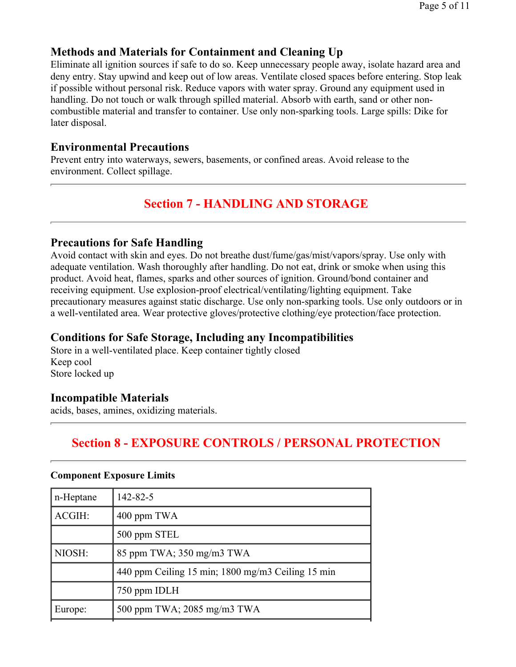## **Methods and Materials for Containment and Cleaning Up**

Eliminate all ignition sources if safe to do so. Keep unnecessary people away, isolate hazard area and deny entry. Stay upwind and keep out of low areas. Ventilate closed spaces before entering. Stop leak if possible without personal risk. Reduce vapors with water spray. Ground any equipment used in handling. Do not touch or walk through spilled material. Absorb with earth, sand or other noncombustible material and transfer to container. Use only non-sparking tools. Large spills: Dike for later disposal.

## **Environmental Precautions**

Prevent entry into waterways, sewers, basements, or confined areas. Avoid release to the environment. Collect spillage.

# **Section 7 - HANDLING AND STORAGE**

## **Precautions for Safe Handling**

Avoid contact with skin and eyes. Do not breathe dust/fume/gas/mist/vapors/spray. Use only with adequate ventilation. Wash thoroughly after handling. Do not eat, drink or smoke when using this product. Avoid heat, flames, sparks and other sources of ignition. Ground/bond container and receiving equipment. Use explosion-proof electrical/ventilating/lighting equipment. Take precautionary measures against static discharge. Use only non-sparking tools. Use only outdoors or in a well-ventilated area. Wear protective gloves/protective clothing/eye protection/face protection.

## **Conditions for Safe Storage, Including any Incompatibilities**

Store in a well-ventilated place. Keep container tightly closed Keep cool Store locked up

## **Incompatible Materials**

acids, bases, amines, oxidizing materials.

## **Section 8 - EXPOSURE CONTROLS / PERSONAL PROTECTION**

#### **Component Exposure Limits**

| n-Heptane | 142-82-5                                          |
|-----------|---------------------------------------------------|
| ACGIH:    | 400 ppm TWA                                       |
|           | 500 ppm STEL                                      |
| NIOSH:    | 85 ppm TWA; $350 \text{ mg/m}$ $3 \text{ TWA}$    |
|           | 440 ppm Ceiling 15 min; 1800 mg/m3 Ceiling 15 min |
|           | 750 ppm IDLH                                      |
| Europe:   | 500 ppm TWA; 2085 mg/m3 TWA                       |
|           |                                                   |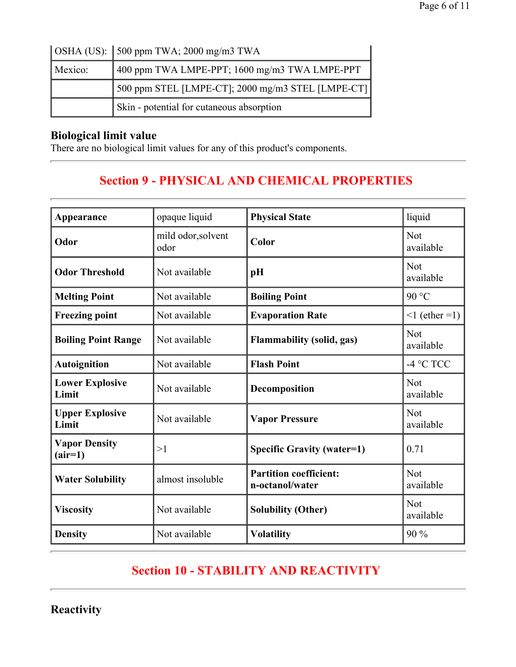|                                                          | $\vert$ OSHA (US): $\vert$ 500 ppm TWA; 2000 mg/m3 TWA |  |  |  |  |  |
|----------------------------------------------------------|--------------------------------------------------------|--|--|--|--|--|
| 400 ppm TWA LMPE-PPT; 1600 mg/m3 TWA LMPE-PPT<br>Mexico: |                                                        |  |  |  |  |  |
| 500 ppm STEL [LMPE-CT]; 2000 mg/m3 STEL [LMPE-CT]        |                                                        |  |  |  |  |  |
| Skin - potential for cutaneous absorption                |                                                        |  |  |  |  |  |

## **Biological limit value**

 $\overline{a}$ 

There are no biological limit values for any of this product's components.

# **Section 9 - PHYSICAL AND CHEMICAL PROPERTIES**

| Appearance                        | opaque liquid                                                        | <b>Physical State</b>             | liquid                  |  |  |
|-----------------------------------|----------------------------------------------------------------------|-----------------------------------|-------------------------|--|--|
| Odor                              | mild odor, solvent<br>odor                                           | Color                             | <b>Not</b><br>available |  |  |
| <b>Odor Threshold</b>             | Not available<br>pH                                                  |                                   | <b>Not</b><br>available |  |  |
| <b>Melting Point</b>              | Not available                                                        | <b>Boiling Point</b>              | 90 °C                   |  |  |
| <b>Freezing point</b>             | Not available                                                        | <b>Evaporation Rate</b>           | $\leq 1$ (ether = 1)    |  |  |
| <b>Boiling Point Range</b>        | Not available                                                        | <b>Flammability (solid, gas)</b>  | <b>Not</b><br>available |  |  |
| <b>Autoignition</b>               | Not available                                                        | <b>Flash Point</b>                | $-4$ °C TCC             |  |  |
| <b>Lower Explosive</b><br>Limit   | Not available                                                        | Decomposition                     | <b>Not</b><br>available |  |  |
| <b>Upper Explosive</b><br>Limit   | Not available                                                        | <b>Vapor Pressure</b>             | <b>Not</b><br>available |  |  |
| <b>Vapor Density</b><br>$(air=1)$ | >1                                                                   | <b>Specific Gravity (water=1)</b> | 0.71                    |  |  |
| <b>Water Solubility</b>           | <b>Partition coefficient:</b><br>almost insoluble<br>n-octanol/water |                                   | <b>Not</b><br>available |  |  |
| <b>Viscosity</b>                  | Not available                                                        | <b>Solubility (Other)</b>         | <b>Not</b><br>available |  |  |
| <b>Density</b>                    | Not available                                                        | <b>Volatility</b>                 | 90%                     |  |  |

# **Section 10 - STABILITY AND REACTIVITY**

**Reactivity**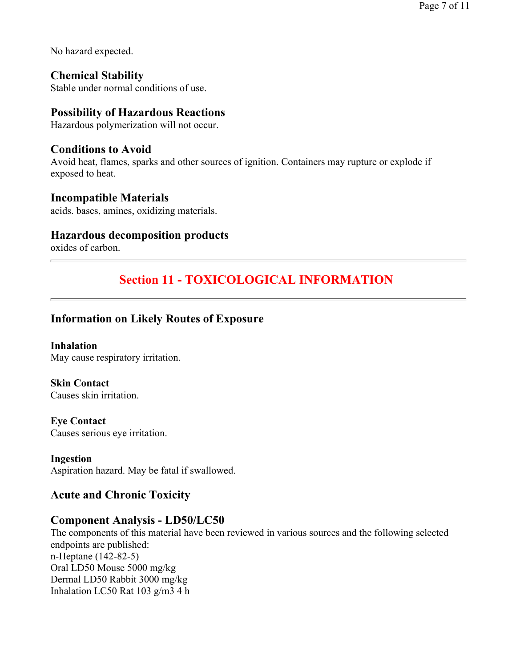No hazard expected.

**Chemical Stability**  Stable under normal conditions of use.

## **Possibility of Hazardous Reactions**

Hazardous polymerization will not occur.

## **Conditions to Avoid**

Avoid heat, flames, sparks and other sources of ignition. Containers may rupture or explode if exposed to heat.

#### **Incompatible Materials**

acids. bases, amines, oxidizing materials.

#### **Hazardous decomposition products**

oxides of carbon.

## **Section 11 - TOXICOLOGICAL INFORMATION**

## **Information on Likely Routes of Exposure**

**Inhalation**  May cause respiratory irritation.

**Skin Contact**  Causes skin irritation.

**Eye Contact**  Causes serious eye irritation.

#### **Ingestion**  Aspiration hazard. May be fatal if swallowed.

## **Acute and Chronic Toxicity**

## **Component Analysis - LD50/LC50**

The components of this material have been reviewed in various sources and the following selected endpoints are published: n-Heptane (142-82-5) Oral LD50 Mouse 5000 mg/kg Dermal LD50 Rabbit 3000 mg/kg Inhalation LC50 Rat 103 g/m3 4 h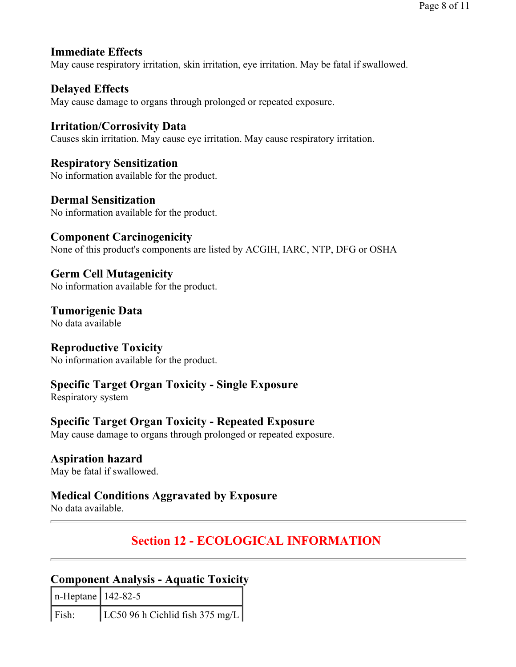## **Immediate Effects**

May cause respiratory irritation, skin irritation, eye irritation. May be fatal if swallowed.

## **Delayed Effects**

May cause damage to organs through prolonged or repeated exposure.

# **Irritation/Corrosivity Data**

Causes skin irritation. May cause eye irritation. May cause respiratory irritation.

**Respiratory Sensitization**  No information available for the product.

**Dermal Sensitization**  No information available for the product.

**Component Carcinogenicity** None of this product's components are listed by ACGIH, IARC, NTP, DFG or OSHA

**Germ Cell Mutagenicity**  No information available for the product.

**Tumorigenic Data**  No data available

## **Reproductive Toxicity**

No information available for the product.

## **Specific Target Organ Toxicity - Single Exposure**

Respiratory system

## **Specific Target Organ Toxicity - Repeated Exposure**

May cause damage to organs through prolonged or repeated exposure.

## **Aspiration hazard**

May be fatal if swallowed.

## **Medical Conditions Aggravated by Exposure**

No data available.

# **Section 12 - ECOLOGICAL INFORMATION**

## **Component Analysis - Aquatic Toxicity**

| $n$ -Heptane   142-82-5 |                                 |
|-------------------------|---------------------------------|
| $\vert$ Fish:           | LC50 96 h Cichlid fish 375 mg/L |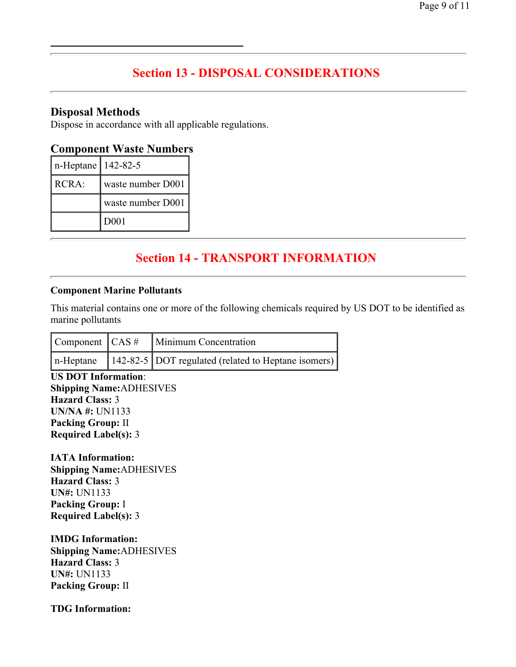## **Section 13 - DISPOSAL CONSIDERATIONS**

#### **Disposal Methods**

Dispose in accordance with all applicable regulations.

#### **Component Waste Numbers**

| $n$ -Heptane   142-82-5 |                   |
|-------------------------|-------------------|
| RCRA:                   | waste number D001 |
|                         | waste number D001 |
|                         | D <sub>00</sub> 1 |

# **Section 14 - TRANSPORT INFORMATION**

#### **Component Marine Pollutants**

This material contains one or more of the following chemicals required by US DOT to be identified as marine pollutants

|                | $\vert$ Component $\vert$ CAS $\#$ $\vert$ Minimum Concentration |  |  |  |  |
|----------------|------------------------------------------------------------------|--|--|--|--|
| $\ln$ -Heptane | 142-82-5   DOT regulated (related to Heptane isomers)            |  |  |  |  |

**US DOT Information**: **Shipping Name:**ADHESIVES **Hazard Class:** 3 **UN/NA #:** UN1133 **Packing Group:** II **Required Label(s):** 3

**IATA Information: Shipping Name:**ADHESIVES **Hazard Class:** 3 **UN#:** UN1133 **Packing Group:** I **Required Label(s):** 3

**IMDG Information: Shipping Name:**ADHESIVES **Hazard Class:** 3 **UN#:** UN1133 **Packing Group:** II

**TDG Information:**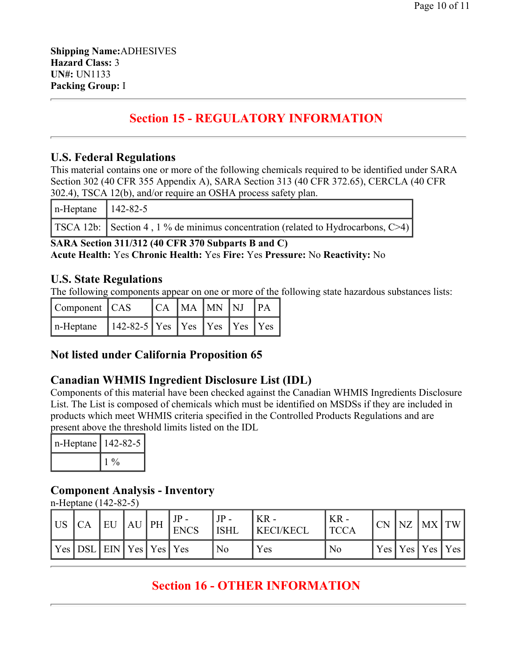# **Section 15 - REGULATORY INFORMATION**

## **U.S. Federal Regulations**

This material contains one or more of the following chemicals required to be identified under SARA Section 302 (40 CFR 355 Appendix A), SARA Section 313 (40 CFR 372.65), CERCLA (40 CFR 302.4), TSCA 12(b), and/or require an OSHA process safety plan.

| $n$ -Heptane   142-82-5 |                                                                                              |
|-------------------------|----------------------------------------------------------------------------------------------|
|                         | <b>TSCA 12b:</b> Section 4, 1 % de minimus concentration (related to Hydrocarbons, $C > 4$ ) |

**SARA Section 311/312 (40 CFR 370 Subparts B and C) Acute Health:** Yes **Chronic Health:** Yes **Fire:** Yes **Pressure:** No **Reactivity:** No

## **U.S. State Regulations**

The following components appear on one or more of the following state hazardous substances lists:

| $\vert$ Component $\vert$ CAS                 |  | $ CA MA$ $MN$ $NJ$ $PA$ |  |  |
|-----------------------------------------------|--|-------------------------|--|--|
| $n$ -Heptane 142-82-5 Yes Yes Yes Yes Yes Yes |  |                         |  |  |

## **Not listed under California Proposition 65**

## **Canadian WHMIS Ingredient Disclosure List (IDL)**

Components of this material have been checked against the Canadian WHMIS Ingredients Disclosure List. The List is composed of chemicals which must be identified on MSDSs if they are included in products which meet WHMIS criteria specified in the Controlled Products Regulations and are present above the threshold limits listed on the IDL

| n-Heptane   142-82-5 |       |  |  |
|----------------------|-------|--|--|
|                      | $1\%$ |  |  |

## **Component Analysis - Inventory**

n-Heptane (142-82-5)

| l US | СA                                | EU | $AU$ PH | <b>ENCS</b> | JP -<br><b>ISHL</b> | ' KR -<br><b>KECI/KECL</b> | $KR -$<br>TCCA | <b>CN</b> | NZ | MX                    | $\overline{\text{TW}}$ |
|------|-----------------------------------|----|---------|-------------|---------------------|----------------------------|----------------|-----------|----|-----------------------|------------------------|
|      | Yes   DSL   EIN   Yes   Yes   Yes |    |         |             | No                  | Yes                        | N <sub>0</sub> |           |    | Yes   Yes   Yes   Yes |                        |

## **Section 16 - OTHER INFORMATION**